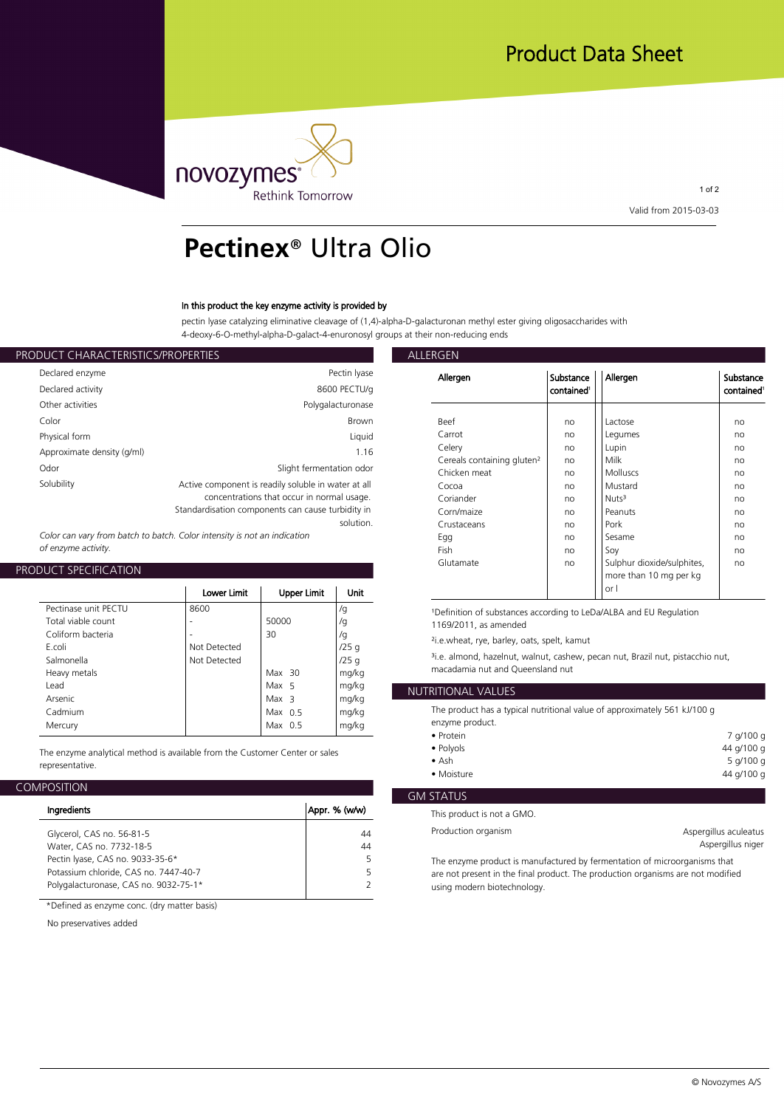

1 of 2 **Valid from 2015-03-03**

# **Pectinex**® Ultra Olio

## **In this product the key enzyme activity is provided by**

**pectin lyase catalyzing eliminative cleavage of (1,4)-alpha-D-galacturonan methyl ester giving oligosaccharides with 4-deoxy-6-O-methyl-alpha-D-galact-4-enuronosyl groups at their non-reducing ends**

| ALLERGEN           |                                                     | PRODUCT CHARACTERISTICS/PROPERTIES |
|--------------------|-----------------------------------------------------|------------------------------------|
| Allergen           | Pectin Iyase                                        | Declared enzyme                    |
|                    | 8600 PECTU/g                                        | Declared activity                  |
|                    | Polygalacturonase                                   | Other activities                   |
| <b>Beef</b>        | <b>Brown</b>                                        | Color                              |
| Carrot             | Liquid                                              | Physical form                      |
| Celery             | 1.16                                                | Approximate density (g/ml)         |
| Cereals<br>Chicken | Slight fermentation odor                            | Odor                               |
| Cocoa              | Active component is readily soluble in water at all | Solubility                         |
| Coriand            | concentrations that occur in normal usage.          |                                    |
| Corn/ma            | Standardisation components can cause turbidity in   |                                    |
| Crustace           | solution.                                           |                                    |

*Color can vary from batch to batch. Color intensity is not an indication of enzyme activity.*

# **PRODUCT SPECIFICATION**

|                      | Lower Limit  | <b>Upper Limit</b> | Unit  |                       |
|----------------------|--------------|--------------------|-------|-----------------------|
| Pectinase unit PECTU | 8600         |                    | /g    | <sup>1</sup> Definit  |
| Total viable count   | ۰            | 50000              | /g    | 1169/2                |
| Coliform bacteria    |              | 30                 | /g    | $2i.e.$ whe           |
| F.coli               | Not Detected |                    | /25q  |                       |
| Salmonella           | Not Detected |                    | /25q  | <sup>3</sup> i.e. alm |
| Heavy metals         |              | $Max$ 30           | mg/kg | macada                |
| l ead                |              | Max 5              | mg/kg | <b>NUTRITION</b>      |
| Arsenic              |              | Max <sub>3</sub>   | mg/kg |                       |
| Cadmium              |              | Max $0.5$          | mg/kg | The pro               |
| Mercury              |              | Max $0.5$          | mg/kg | enzyme                |
|                      |              |                    |       | $\bullet$ Protei      |

**The enzyme analytical method is available from the Customer Center or sales representative.**

## **COMPOSITION**

|                                       |               | GM STATUS                                                  |
|---------------------------------------|---------------|------------------------------------------------------------|
| Ingredients                           | Appr. % (w/w) | This product is not a GMO.                                 |
| Glycerol, CAS no. 56-81-5             | 44            | Production organism                                        |
| Water, CAS no. 7732-18-5              | 44            |                                                            |
| Pectin Iyase, CAS no. 9033-35-6*      |               | The enzyme product is manufactured by fermentation of a    |
| Potassium chloride, CAS no. 7447-40-7 |               | are not present in the final product. The production organ |
| Polygalacturonase, CAS no. 9032-75-1* |               | using modern biotechnology.                                |
|                                       |               |                                                            |

**\*Defined as enzyme conc. (dry matter basis)**

**No preservatives added**

| Allergen                               | Substance<br>contained <sup>1</sup> | Allergen                                                     | Substance<br>contained <sup>1</sup> |
|----------------------------------------|-------------------------------------|--------------------------------------------------------------|-------------------------------------|
| Beef                                   |                                     |                                                              |                                     |
|                                        | no                                  | Lactose                                                      | no                                  |
| Carrot                                 | no                                  | Legumes                                                      | no                                  |
| Celery                                 | no                                  | Lupin                                                        | no                                  |
| Cereals containing gluten <sup>2</sup> | no                                  | Milk                                                         | no                                  |
| Chicken meat                           | no                                  | <b>Molluscs</b>                                              | no                                  |
| Cocoa                                  | no                                  | Mustard                                                      | no                                  |
| Coriander                              | no                                  | Nuts <sup>3</sup>                                            | no                                  |
| Corn/maize                             | no                                  | Peanuts                                                      | no                                  |
| Crustaceans                            | no                                  | Pork                                                         | no                                  |
| Egg                                    | no                                  | Sesame                                                       | no                                  |
| Fish                                   | no                                  | Soy                                                          | no                                  |
| Glutamate                              | no                                  | Sulphur dioxide/sulphites,<br>more than 10 mg per kg<br>or I | no                                  |

<sup>/g</sup> 1Definition of substances according to LeDa/ALBA and EU Regulation **/g 1169/2011, as amended**

**/25 g ²i.e.wheat, rye, barley, oats, spelt, kamut**

**/25 g ³i.e. almond, hazelnut, walnut, cashew, pecan nut, Brazil nut, pistacchio nut, mg/kg macadamia nut and Queensland nut**

# **mg/kg NUTRITIONAL VALUES**

**mg/kg The product has a typical nutritional value of approximately 561 kJ/100 g mg/kg enzyme product.**

| • Protein     | 7 g/100 g  |
|---------------|------------|
| • Polyols     | 44 g/100 g |
| $\bullet$ Ash | 5 g/100 g  |
| • Moisture    | 44 g/100 g |
|               |            |

## **GM STATUS**

**Aspergillus aculeatus Aspergillus niger**

**5 The enzyme product is manufactured by fermentation of microorganisms that 5 are not present in the final product. The production organisms are not modified 2 using modern biotechnology.**